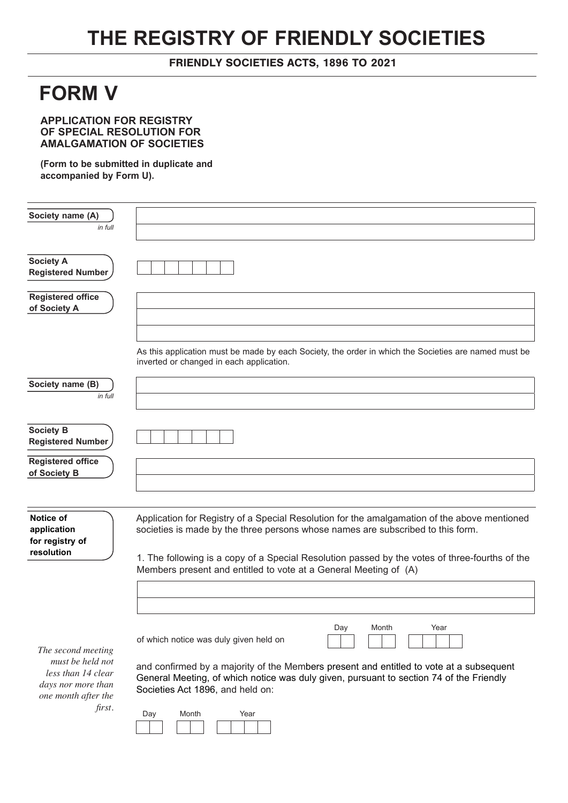## **THE REGISTRY OF FRIENDLY SOCIETIES**

## FRIENDLY SOCIETIES ACTS, 1896 TO 2021

## **FORM V**

**APPLICATION FOR REGISTRY OF SPECIAL RESOLUTION FOR AMALGAMATION OF SOCIETIES** 

**(Form to be submitted in duplicate and accompanied by Form U).**

| Society name (A)                             |                                                                                                                                                                                    |
|----------------------------------------------|------------------------------------------------------------------------------------------------------------------------------------------------------------------------------------|
| in full                                      |                                                                                                                                                                                    |
|                                              |                                                                                                                                                                                    |
| <b>Society A</b><br><b>Registered Number</b> |                                                                                                                                                                                    |
|                                              |                                                                                                                                                                                    |
| <b>Registered office</b><br>of Society A     |                                                                                                                                                                                    |
|                                              |                                                                                                                                                                                    |
|                                              | As this application must be made by each Society, the order in which the Societies are named must be<br>inverted or changed in each application.                                   |
| Society name (B)                             |                                                                                                                                                                                    |
| in full                                      |                                                                                                                                                                                    |
|                                              |                                                                                                                                                                                    |
| <b>Society B</b><br><b>Registered Number</b> |                                                                                                                                                                                    |
| <b>Registered office</b>                     |                                                                                                                                                                                    |
| of Society B                                 |                                                                                                                                                                                    |
|                                              |                                                                                                                                                                                    |
|                                              |                                                                                                                                                                                    |
| Notice of<br>application                     | Application for Registry of a Special Resolution for the amalgamation of the above mentioned<br>societies is made by the three persons whose names are subscribed to this form.    |
| for registry of<br>resolution                |                                                                                                                                                                                    |
|                                              | 1. The following is a copy of a Special Resolution passed by the votes of three-fourths of the<br>Members present and entitled to vote at a General Meeting of (A)                 |
|                                              |                                                                                                                                                                                    |
|                                              |                                                                                                                                                                                    |
|                                              |                                                                                                                                                                                    |
|                                              | Day<br>Year<br>Month<br>of which notice was duly given held on                                                                                                                     |
| The second meeting                           |                                                                                                                                                                                    |
| must be held not<br>less than 14 clear       | and confirmed by a majority of the Members present and entitled to vote at a subsequent<br>General Meeting, of which notice was duly given, pursuant to section 74 of the Friendly |
| days nor more than<br>one month after the    | Societies Act 1896, and held on:                                                                                                                                                   |
| first.                                       | Month<br>Year<br>Day                                                                                                                                                               |